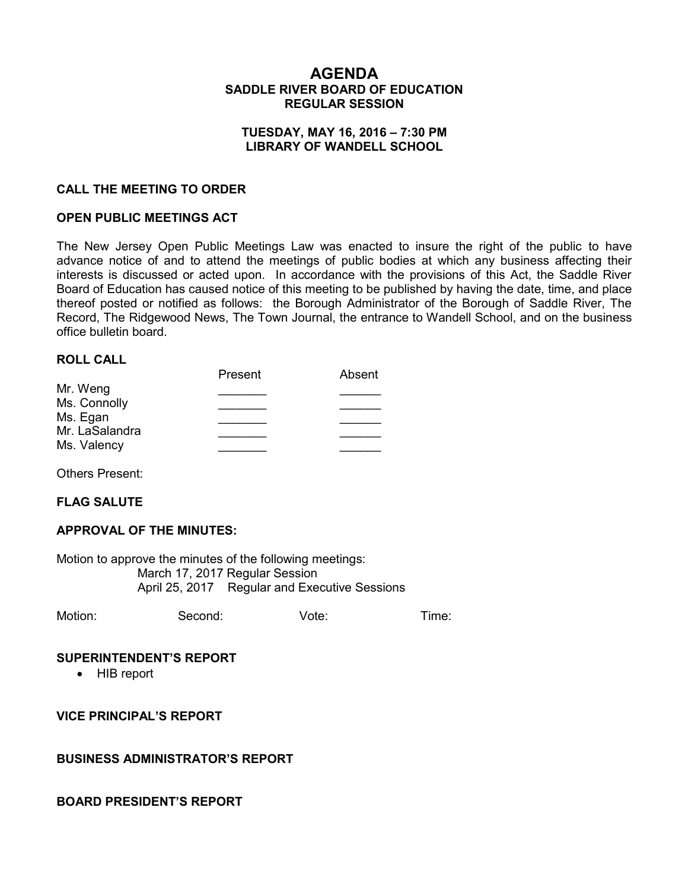## **AGENDA SADDLE RIVER BOARD OF EDUCATION REGULAR SESSION**

### **TUESDAY, MAY 16, 2016 – 7:30 PM LIBRARY OF WANDELL SCHOOL**

### **CALL THE MEETING TO ORDER**

### **OPEN PUBLIC MEETINGS ACT**

The New Jersey Open Public Meetings Law was enacted to insure the right of the public to have advance notice of and to attend the meetings of public bodies at which any business affecting their interests is discussed or acted upon. In accordance with the provisions of this Act, the Saddle River Board of Education has caused notice of this meeting to be published by having the date, time, and place thereof posted or notified as follows: the Borough Administrator of the Borough of Saddle River, The Record, The Ridgewood News, The Town Journal, the entrance to Wandell School, and on the business office bulletin board.

### **ROLL CALL**

|                | Present | Absent |
|----------------|---------|--------|
| Mr. Weng       |         |        |
| Ms. Connolly   |         |        |
| Ms. Egan       |         |        |
| Mr. LaSalandra |         |        |
| Ms. Valency    |         |        |
|                |         |        |

Others Present:

#### **FLAG SALUTE**

#### **APPROVAL OF THE MINUTES:**

Motion to approve the minutes of the following meetings: March 17, 2017 Regular Session April 25, 2017 Regular and Executive Sessions

Motion: Second: Vote: Time:

#### **SUPERINTENDENT'S REPORT**

• HIB report

**VICE PRINCIPAL'S REPORT**

#### **BUSINESS ADMINISTRATOR'S REPORT**

#### **BOARD PRESIDENT'S REPORT**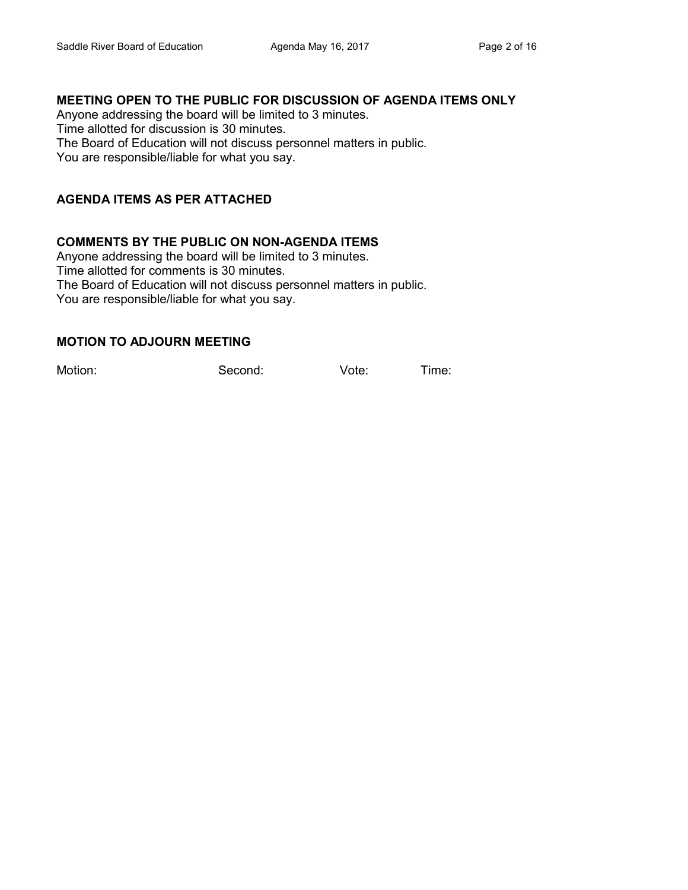# **MEETING OPEN TO THE PUBLIC FOR DISCUSSION OF AGENDA ITEMS ONLY**

Anyone addressing the board will be limited to 3 minutes. Time allotted for discussion is 30 minutes. The Board of Education will not discuss personnel matters in public. You are responsible/liable for what you say.

# **AGENDA ITEMS AS PER ATTACHED**

## **COMMENTS BY THE PUBLIC ON NON-AGENDA ITEMS**

Anyone addressing the board will be limited to 3 minutes. Time allotted for comments is 30 minutes. The Board of Education will not discuss personnel matters in public. You are responsible/liable for what you say.

## **MOTION TO ADJOURN MEETING**

Motion: Second: Vote: Time: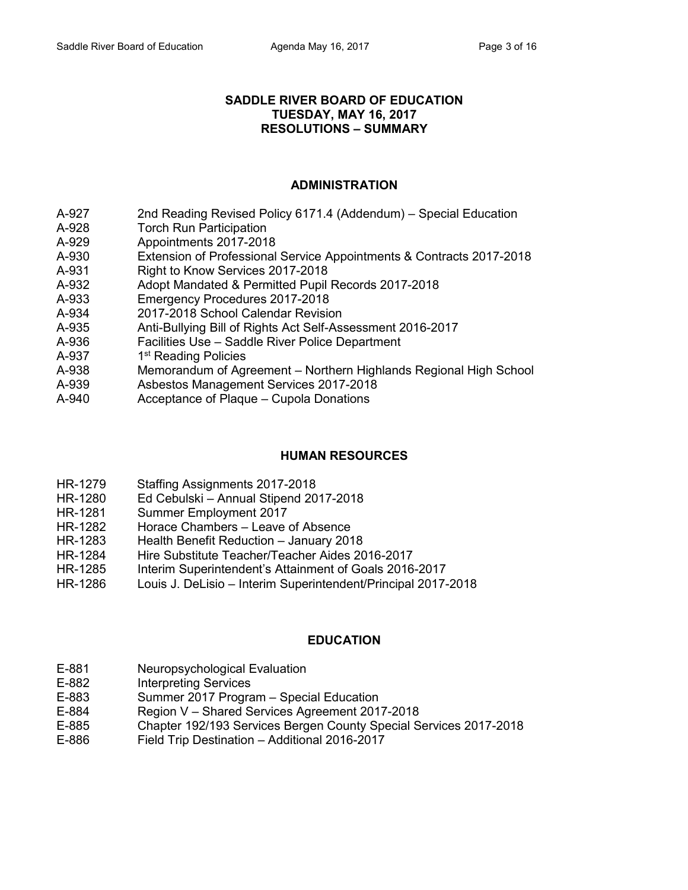### **SADDLE RIVER BOARD OF EDUCATION TUESDAY, MAY 16, 2017 RESOLUTIONS – SUMMARY**

# **ADMINISTRATION**

- A-927 2nd Reading Revised Policy 6171.4 (Addendum) Special Education
- A-928 Torch Run Participation
- A-929 Appointments 2017-2018
- A-930 Extension of Professional Service Appointments & Contracts 2017-2018
- A-931 Right to Know Services 2017-2018
- A-932 Adopt Mandated & Permitted Pupil Records 2017-2018
- A-933 Emergency Procedures 2017-2018
- A-934 2017-2018 School Calendar Revision
- A-935 Anti-Bullying Bill of Rights Act Self-Assessment 2016-2017
- A-936 Facilities Use Saddle River Police Department
- A-937 1<sup>st</sup> Reading Policies
- A-938 Memorandum of Agreement Northern Highlands Regional High School
- A-939 Asbestos Management Services 2017-2018
- A-940 Acceptance of Plaque Cupola Donations

## **HUMAN RESOURCES**

- HR-1279 Staffing Assignments 2017-2018
- HR-1280 Ed Cebulski Annual Stipend 2017-2018
- HR-1281 Summer Employment 2017
- HR-1282 Horace Chambers Leave of Absence
- HR-1283 Health Benefit Reduction January 2018
- HR-1284 Hire Substitute Teacher/Teacher Aides 2016-2017
- HR-1285 Interim Superintendent's Attainment of Goals 2016-2017
- HR-1286 Louis J. DeLisio Interim Superintendent/Principal 2017-2018

## **EDUCATION**

- E-881 Neuropsychological Evaluation
- E-882 Interpreting Services
- E-883 Summer 2017 Program Special Education
- E-884 Region V Shared Services Agreement 2017-2018
- E-885 Chapter 192/193 Services Bergen County Special Services 2017-2018
- E-886 Field Trip Destination Additional 2016-2017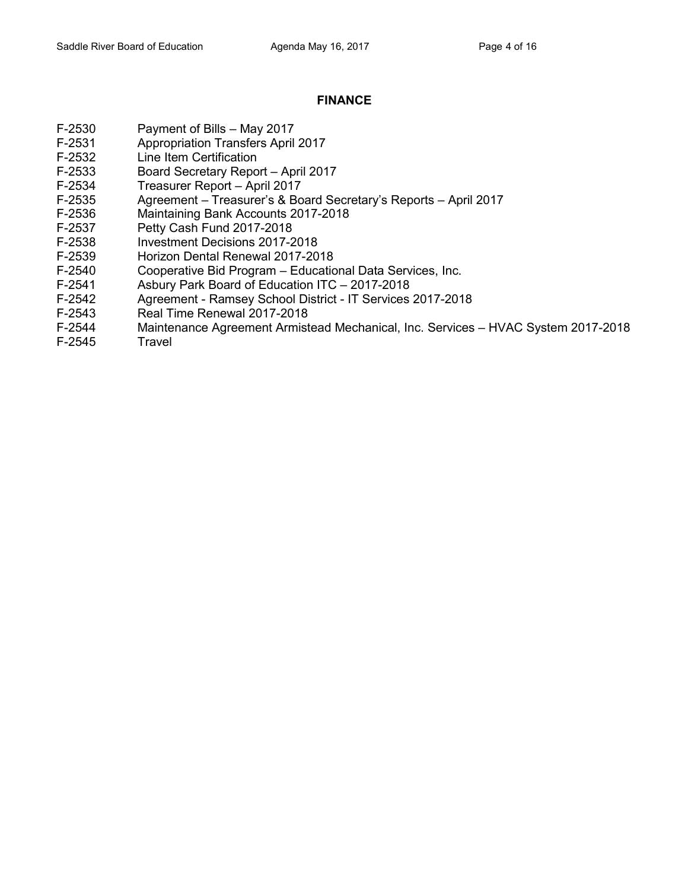# **FINANCE**

- F-2530 Payment of Bills May 2017
- F-2531 Appropriation Transfers April 2017
- F-2532 Line Item Certification
- F-2533 Board Secretary Report April 2017
- F-2534 Treasurer Report April 2017
- F-2535 Agreement Treasurer's & Board Secretary's Reports April 2017
- F-2536 Maintaining Bank Accounts 2017-2018
- F-2537 Petty Cash Fund 2017-2018
- F-2538 Investment Decisions 2017-2018
- F-2539 Horizon Dental Renewal 2017-2018
- F-2540 Cooperative Bid Program Educational Data Services, Inc.
- F-2541 Asbury Park Board of Education ITC 2017-2018
- F-2542 Agreement Ramsey School District IT Services 2017-2018
- F-2543 Real Time Renewal 2017-2018
- F-2544 Maintenance Agreement Armistead Mechanical, Inc. Services HVAC System 2017-2018
- F-2545 Travel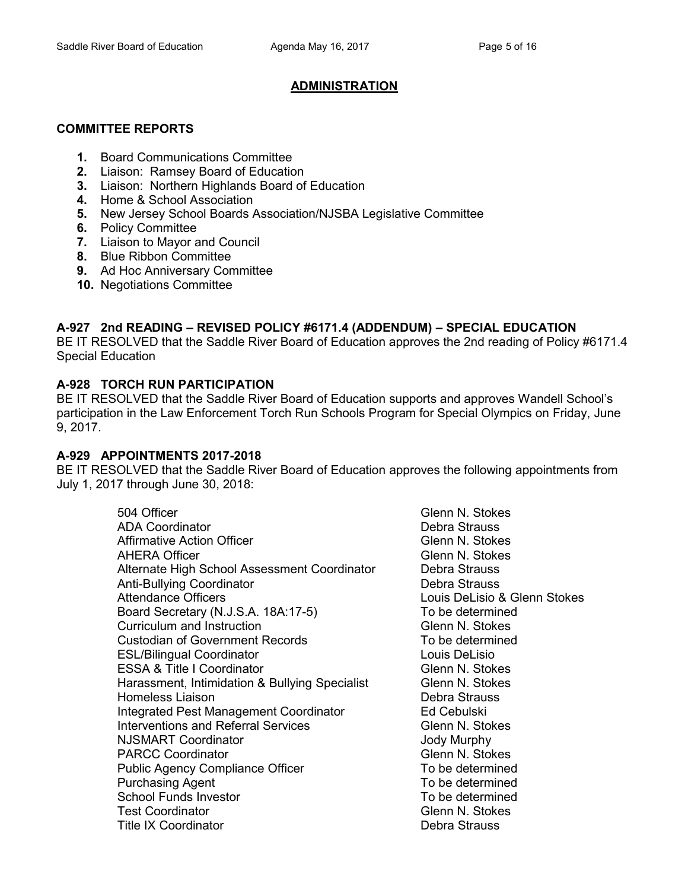# **ADMINISTRATION**

## **COMMITTEE REPORTS**

- **1.** Board Communications Committee
- **2.** Liaison: Ramsey Board of Education
- **3.** Liaison: Northern Highlands Board of Education
- **4.** Home & School Association
- **5.** New Jersey School Boards Association/NJSBA Legislative Committee
- **6.** Policy Committee
- **7.** Liaison to Mayor and Council
- **8.** Blue Ribbon Committee
- **9.** Ad Hoc Anniversary Committee
- **10.** Negotiations Committee

# **A-927 2nd READING – REVISED POLICY #6171.4 (ADDENDUM) – SPECIAL EDUCATION**

BE IT RESOLVED that the Saddle River Board of Education approves the 2nd reading of Policy #6171.4 Special Education

# **A-928 TORCH RUN PARTICIPATION**

BE IT RESOLVED that the Saddle River Board of Education supports and approves Wandell School's participation in the Law Enforcement Torch Run Schools Program for Special Olympics on Friday, June 9, 2017.

## **A-929 APPOINTMENTS 2017-2018**

BE IT RESOLVED that the Saddle River Board of Education approves the following appointments from July 1, 2017 through June 30, 2018:

| 504 Officer                                    | Glenn N. Stokes |
|------------------------------------------------|-----------------|
| <b>ADA Coordinator</b>                         | Debra Strauss   |
| <b>Affirmative Action Officer</b>              | Glenn N. Stokes |
| <b>AHERA Officer</b>                           | Glenn N. Stokes |
| Alternate High School Assessment Coordinator   | Debra Strauss   |
| <b>Anti-Bullying Coordinator</b>               | Debra Strauss   |
| <b>Attendance Officers</b>                     | Louis DeLisio & |
| Board Secretary (N.J.S.A. 18A:17-5)            | To be determine |
| Curriculum and Instruction                     | Glenn N. Stokes |
| <b>Custodian of Government Records</b>         | To be determine |
| <b>ESL/Bilingual Coordinator</b>               | Louis DeLisio   |
| <b>ESSA &amp; Title I Coordinator</b>          | Glenn N. Stokes |
| Harassment, Intimidation & Bullying Specialist | Glenn N. Stokes |
| Homeless Liaison                               | Debra Strauss   |
| <b>Integrated Pest Management Coordinator</b>  | Ed Cebulski     |
| <b>Interventions and Referral Services</b>     | Glenn N. Stokes |
| <b>NJSMART Coordinator</b>                     | Jody Murphy     |
| <b>PARCC Coordinator</b>                       | Glenn N. Stokes |
| <b>Public Agency Compliance Officer</b>        | To be determine |
| <b>Purchasing Agent</b>                        | To be determine |
| <b>School Funds Investor</b>                   | To be determine |
| <b>Test Coordinator</b>                        | Glenn N. Stokes |
| <b>Title IX Coordinator</b>                    | Debra Strauss   |

Debra Strauss Glenn N. Stokes Glenn N. Stokes Debra Strauss Debra Strauss Louis DeLisio & Glenn Stokes To be determined Glenn N. Stokes To be determined Louis DeLisio Glenn N. Stokes Glenn N. Stokes Debra Strauss Ed Cebulski Glenn N. Stokes Jody Murphy Glenn N. Stokes To be determined To be determined To be determined Glenn N. Stokes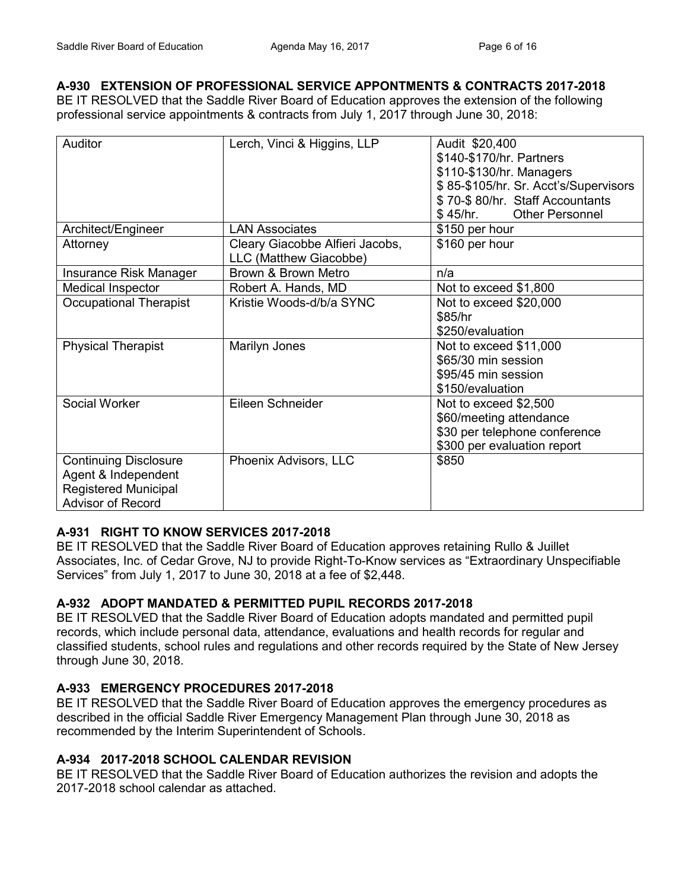# **A-930 EXTENSION OF PROFESSIONAL SERVICE APPONTMENTS & CONTRACTS 2017-2018**

BE IT RESOLVED that the Saddle River Board of Education approves the extension of the following professional service appointments & contracts from July 1, 2017 through June 30, 2018:

| Auditor                                                                                                        | Lerch, Vinci & Higgins, LLP                               | Audit \$20,400<br>\$140-\$170/hr. Partners<br>\$110-\$130/hr. Managers<br>\$85-\$105/hr. Sr. Acct's/Supervisors<br>\$70-\$80/hr. Staff Accountants<br><b>Other Personnel</b><br>\$ 45/hr. |
|----------------------------------------------------------------------------------------------------------------|-----------------------------------------------------------|-------------------------------------------------------------------------------------------------------------------------------------------------------------------------------------------|
| Architect/Engineer                                                                                             | <b>LAN Associates</b>                                     | \$150 per hour                                                                                                                                                                            |
| Attorney                                                                                                       | Cleary Giacobbe Alfieri Jacobs,<br>LLC (Matthew Giacobbe) | \$160 per hour                                                                                                                                                                            |
| Insurance Risk Manager                                                                                         | Brown & Brown Metro                                       | n/a                                                                                                                                                                                       |
| Medical Inspector                                                                                              | Robert A. Hands, MD                                       | Not to exceed \$1,800                                                                                                                                                                     |
| <b>Occupational Therapist</b>                                                                                  | Kristie Woods-d/b/a SYNC                                  | Not to exceed \$20,000<br>\$85/hr<br>\$250/evaluation                                                                                                                                     |
| <b>Physical Therapist</b>                                                                                      | Marilyn Jones                                             | Not to exceed \$11,000<br>\$65/30 min session<br>\$95/45 min session<br>\$150/evaluation                                                                                                  |
| Social Worker                                                                                                  | Eileen Schneider                                          | Not to exceed \$2,500<br>\$60/meeting attendance<br>\$30 per telephone conference<br>\$300 per evaluation report                                                                          |
| <b>Continuing Disclosure</b><br>Agent & Independent<br><b>Registered Municipal</b><br><b>Advisor of Record</b> | Phoenix Advisors, LLC                                     | \$850                                                                                                                                                                                     |

# **A-931 RIGHT TO KNOW SERVICES 2017-2018**

BE IT RESOLVED that the Saddle River Board of Education approves retaining Rullo & Juillet Associates, Inc. of Cedar Grove, NJ to provide Right-To-Know services as "Extraordinary Unspecifiable Services" from July 1, 2017 to June 30, 2018 at a fee of \$2,448.

# **A-932 ADOPT MANDATED & PERMITTED PUPIL RECORDS 2017-2018**

BE IT RESOLVED that the Saddle River Board of Education adopts mandated and permitted pupil records, which include personal data, attendance, evaluations and health records for regular and classified students, school rules and regulations and other records required by the State of New Jersey through June 30, 2018.

# **A-933 EMERGENCY PROCEDURES 2017-2018**

BE IT RESOLVED that the Saddle River Board of Education approves the emergency procedures as described in the official Saddle River Emergency Management Plan through June 30, 2018 as recommended by the Interim Superintendent of Schools.

# **A-934 2017-2018 SCHOOL CALENDAR REVISION**

BE IT RESOLVED that the Saddle River Board of Education authorizes the revision and adopts the 2017-2018 school calendar as attached.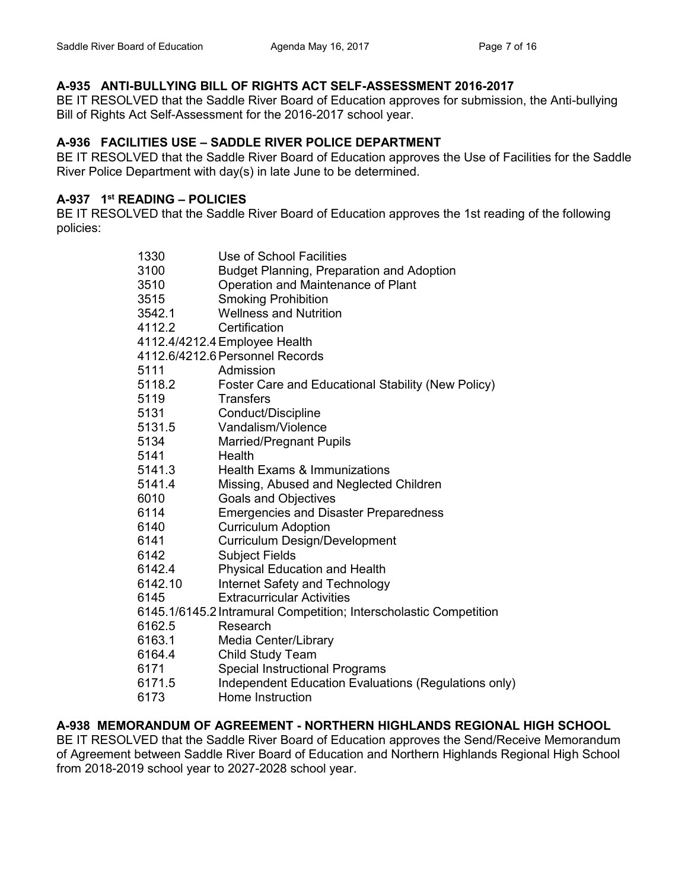# **A-935 ANTI-BULLYING BILL OF RIGHTS ACT SELF-ASSESSMENT 2016-2017**

BE IT RESOLVED that the Saddle River Board of Education approves for submission, the Anti-bullying Bill of Rights Act Self-Assessment for the 2016-2017 school year.

## **A-936 FACILITIES USE – SADDLE RIVER POLICE DEPARTMENT**

BE IT RESOLVED that the Saddle River Board of Education approves the Use of Facilities for the Saddle River Police Department with day(s) in late June to be determined.

## **A-937 1 st READING – POLICIES**

BE IT RESOLVED that the Saddle River Board of Education approves the 1st reading of the following policies:

| 1330    | Use of School Facilities                                          |
|---------|-------------------------------------------------------------------|
| 3100    | <b>Budget Planning, Preparation and Adoption</b>                  |
| 3510    | Operation and Maintenance of Plant                                |
| 3515    | <b>Smoking Prohibition</b>                                        |
| 3542.1  | <b>Wellness and Nutrition</b>                                     |
| 4112.2  | Certification                                                     |
|         | 4112.4/4212.4 Employee Health                                     |
|         | 4112.6/4212.6 Personnel Records                                   |
| 5111    | Admission                                                         |
| 5118.2  | Foster Care and Educational Stability (New Policy)                |
| 5119    | <b>Transfers</b>                                                  |
| 5131    | Conduct/Discipline                                                |
| 5131.5  | Vandalism/Violence                                                |
| 5134    | <b>Married/Pregnant Pupils</b>                                    |
| 5141    | Health                                                            |
| 5141.3  | <b>Health Exams &amp; Immunizations</b>                           |
| 5141.4  | Missing, Abused and Neglected Children                            |
| 6010    | Goals and Objectives                                              |
| 6114    | <b>Emergencies and Disaster Preparedness</b>                      |
| 6140    | <b>Curriculum Adoption</b>                                        |
| 6141    | Curriculum Design/Development                                     |
| 6142    | <b>Subject Fields</b>                                             |
| 6142.4  | <b>Physical Education and Health</b>                              |
| 6142.10 | Internet Safety and Technology                                    |
| 6145    | <b>Extracurricular Activities</b>                                 |
|         | 6145.1/6145.2 Intramural Competition; Interscholastic Competition |
| 6162.5  | Research                                                          |
| 6163.1  | Media Center/Library                                              |
| 6164.4  | <b>Child Study Team</b>                                           |
| 6171    | <b>Special Instructional Programs</b>                             |
| 6171.5  | Independent Education Evaluations (Regulations only)              |
| 6173    | Home Instruction                                                  |

**A-938 MEMORANDUM OF AGREEMENT - NORTHERN HIGHLANDS REGIONAL HIGH SCHOOL**

BE IT RESOLVED that the Saddle River Board of Education approves the Send/Receive Memorandum of Agreement between Saddle River Board of Education and Northern Highlands Regional High School from 2018-2019 school year to 2027-2028 school year.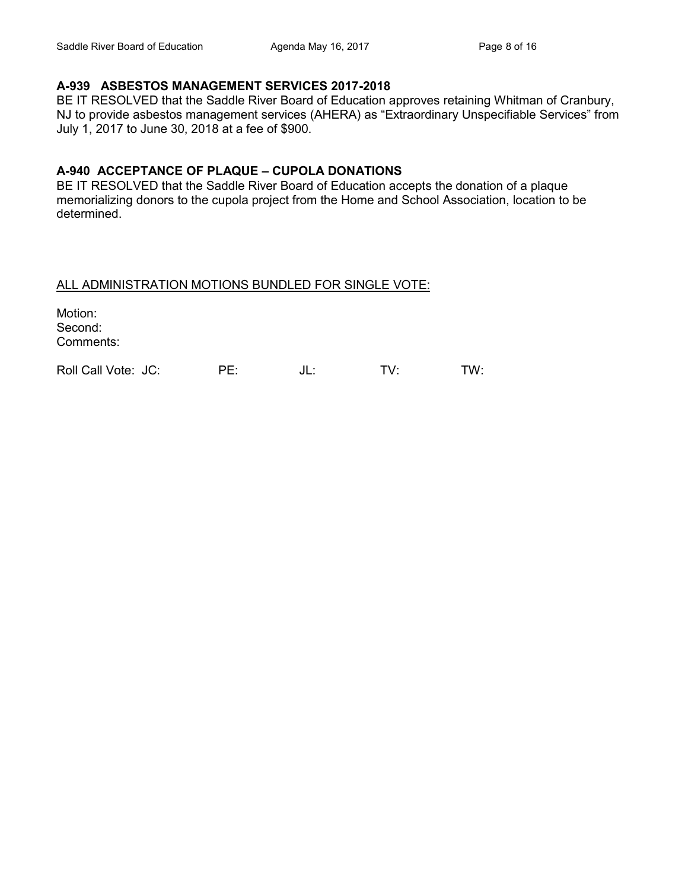## **A-939 ASBESTOS MANAGEMENT SERVICES 2017-2018**

BE IT RESOLVED that the Saddle River Board of Education approves retaining Whitman of Cranbury, NJ to provide asbestos management services (AHERA) as "Extraordinary Unspecifiable Services" from July 1, 2017 to June 30, 2018 at a fee of \$900.

### **A-940 ACCEPTANCE OF PLAQUE – CUPOLA DONATIONS**

BE IT RESOLVED that the Saddle River Board of Education accepts the donation of a plaque memorializing donors to the cupola project from the Home and School Association, location to be determined.

### ALL ADMINISTRATION MOTIONS BUNDLED FOR SINGLE VOTE:

Motion: Second: Comments:

Roll Call Vote: JC: PE: JL: TV: TW: TW: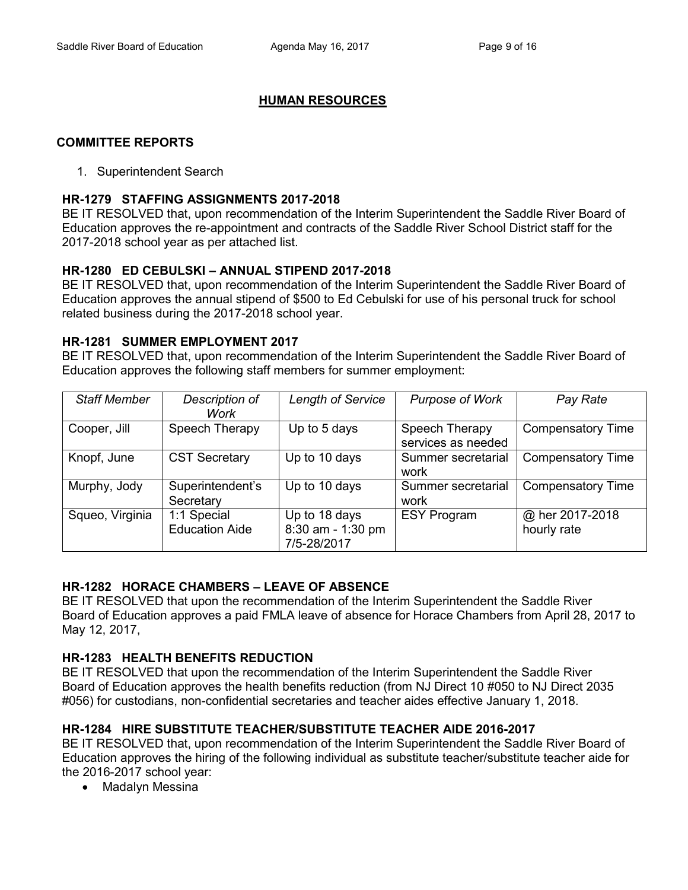# **HUMAN RESOURCES**

## **COMMITTEE REPORTS**

### 1. Superintendent Search

### **HR-1279 STAFFING ASSIGNMENTS 2017-2018**

BE IT RESOLVED that, upon recommendation of the Interim Superintendent the Saddle River Board of Education approves the re-appointment and contracts of the Saddle River School District staff for the 2017-2018 school year as per attached list.

## **HR-1280 ED CEBULSKI – ANNUAL STIPEND 2017-2018**

BE IT RESOLVED that, upon recommendation of the Interim Superintendent the Saddle River Board of Education approves the annual stipend of \$500 to Ed Cebulski for use of his personal truck for school related business during the 2017-2018 school year.

### **HR-1281 SUMMER EMPLOYMENT 2017**

BE IT RESOLVED that, upon recommendation of the Interim Superintendent the Saddle River Board of Education approves the following staff members for summer employment:

| <b>Staff Member</b> | Description of<br>Work               | Length of Service                                 | <b>Purpose of Work</b>               | Pay Rate                       |
|---------------------|--------------------------------------|---------------------------------------------------|--------------------------------------|--------------------------------|
| Cooper, Jill        | Speech Therapy                       | Up to 5 days                                      | Speech Therapy<br>services as needed | <b>Compensatory Time</b>       |
| Knopf, June         | <b>CST Secretary</b>                 | Up to 10 days                                     | Summer secretarial<br>work           | <b>Compensatory Time</b>       |
| Murphy, Jody        | Superintendent's<br>Secretary        | Up to 10 days                                     | Summer secretarial<br>work           | <b>Compensatory Time</b>       |
| Squeo, Virginia     | 1:1 Special<br><b>Education Aide</b> | Up to 18 days<br>8:30 am - 1:30 pm<br>7/5-28/2017 | <b>ESY Program</b>                   | @ her 2017-2018<br>hourly rate |

## **HR-1282 HORACE CHAMBERS – LEAVE OF ABSENCE**

BE IT RESOLVED that upon the recommendation of the Interim Superintendent the Saddle River Board of Education approves a paid FMLA leave of absence for Horace Chambers from April 28, 2017 to May 12, 2017,

## **HR-1283 HEALTH BENEFITS REDUCTION**

BE IT RESOLVED that upon the recommendation of the Interim Superintendent the Saddle River Board of Education approves the health benefits reduction (from NJ Direct 10 #050 to NJ Direct 2035 #056) for custodians, non-confidential secretaries and teacher aides effective January 1, 2018.

## **HR-1284 HIRE SUBSTITUTE TEACHER/SUBSTITUTE TEACHER AIDE 2016-2017**

BE IT RESOLVED that, upon recommendation of the Interim Superintendent the Saddle River Board of Education approves the hiring of the following individual as substitute teacher/substitute teacher aide for the 2016-2017 school year:

• Madalyn Messina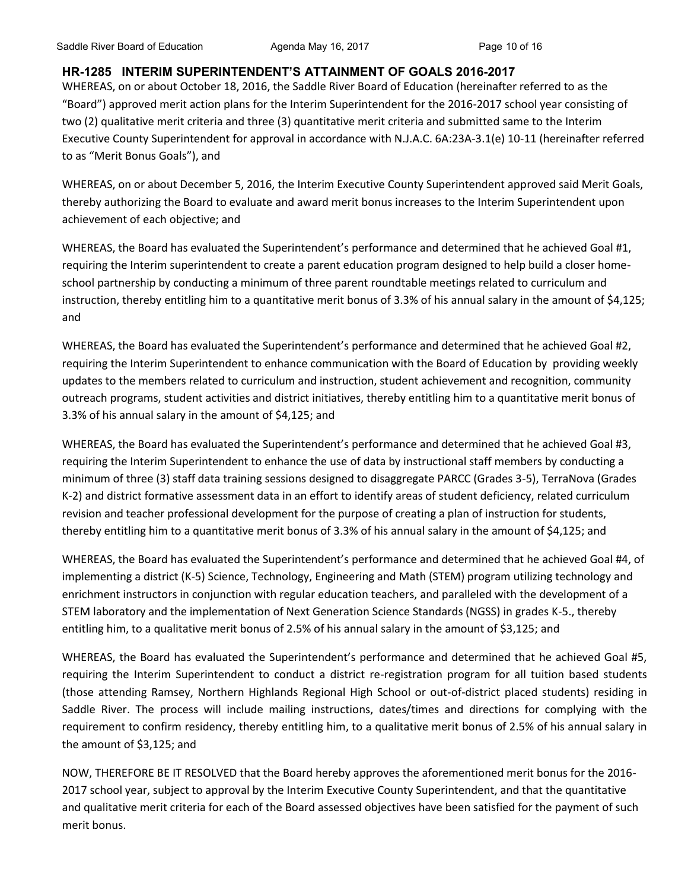# **HR-1285 INTERIM SUPERINTENDENT'S ATTAINMENT OF GOALS 2016-2017**

WHEREAS, on or about October 18, 2016, the Saddle River Board of Education (hereinafter referred to as the "Board") approved merit action plans for the Interim Superintendent for the 2016-2017 school year consisting of two (2) qualitative merit criteria and three (3) quantitative merit criteria and submitted same to the Interim Executive County Superintendent for approval in accordance with N.J.A.C. 6A:23A-3.1(e) 10-11 (hereinafter referred to as "Merit Bonus Goals"), and

WHEREAS, on or about December 5, 2016, the Interim Executive County Superintendent approved said Merit Goals, thereby authorizing the Board to evaluate and award merit bonus increases to the Interim Superintendent upon achievement of each objective; and

WHEREAS, the Board has evaluated the Superintendent's performance and determined that he achieved Goal #1, requiring the Interim superintendent to create a parent education program designed to help build a closer homeschool partnership by conducting a minimum of three parent roundtable meetings related to curriculum and instruction, thereby entitling him to a quantitative merit bonus of 3.3% of his annual salary in the amount of \$4,125; and

WHEREAS, the Board has evaluated the Superintendent's performance and determined that he achieved Goal #2, requiring the Interim Superintendent to enhance communication with the Board of Education by providing weekly updates to the members related to curriculum and instruction, student achievement and recognition, community outreach programs, student activities and district initiatives, thereby entitling him to a quantitative merit bonus of 3.3% of his annual salary in the amount of \$4,125; and

WHEREAS, the Board has evaluated the Superintendent's performance and determined that he achieved Goal #3, requiring the Interim Superintendent to enhance the use of data by instructional staff members by conducting a minimum of three (3) staff data training sessions designed to disaggregate PARCC (Grades 3-5), TerraNova (Grades K-2) and district formative assessment data in an effort to identify areas of student deficiency, related curriculum revision and teacher professional development for the purpose of creating a plan of instruction for students, thereby entitling him to a quantitative merit bonus of 3.3% of his annual salary in the amount of \$4,125; and

WHEREAS, the Board has evaluated the Superintendent's performance and determined that he achieved Goal #4, of implementing a district (K-5) Science, Technology, Engineering and Math (STEM) program utilizing technology and enrichment instructors in conjunction with regular education teachers, and paralleled with the development of a STEM laboratory and the implementation of Next Generation Science Standards (NGSS) in grades K-5., thereby entitling him, to a qualitative merit bonus of 2.5% of his annual salary in the amount of \$3,125; and

WHEREAS, the Board has evaluated the Superintendent's performance and determined that he achieved Goal #5, requiring the Interim Superintendent to conduct a district re-registration program for all tuition based students (those attending Ramsey, Northern Highlands Regional High School or out-of-district placed students) residing in Saddle River. The process will include mailing instructions, dates/times and directions for complying with the requirement to confirm residency, thereby entitling him, to a qualitative merit bonus of 2.5% of his annual salary in the amount of \$3,125; and

NOW, THEREFORE BE IT RESOLVED that the Board hereby approves the aforementioned merit bonus for the 2016- 2017 school year, subject to approval by the Interim Executive County Superintendent, and that the quantitative and qualitative merit criteria for each of the Board assessed objectives have been satisfied for the payment of such merit bonus.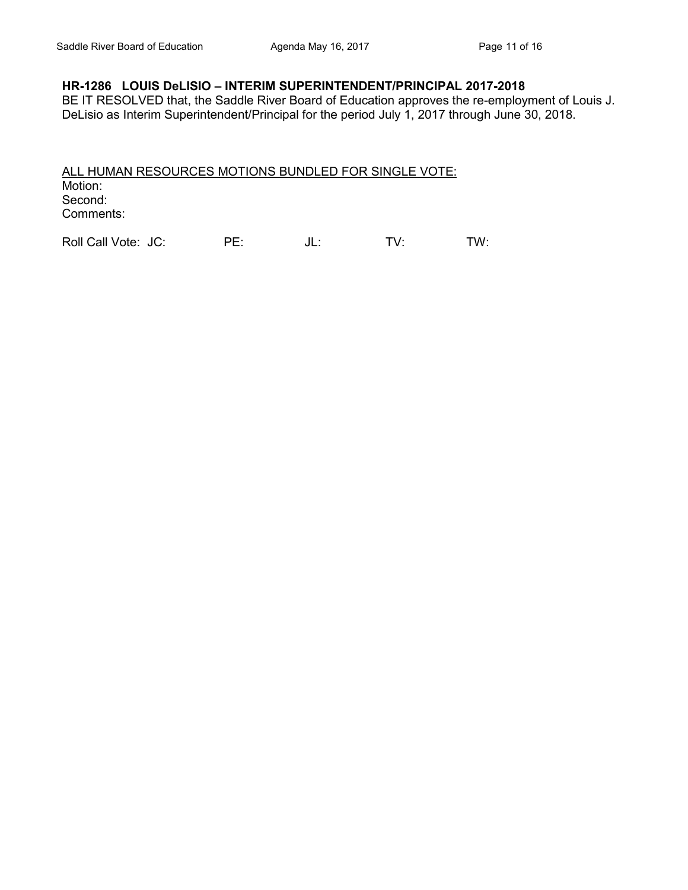### **HR-1286 LOUIS DeLISIO – INTERIM SUPERINTENDENT/PRINCIPAL 2017-2018**

BE IT RESOLVED that, the Saddle River Board of Education approves the re-employment of Louis J. DeLisio as Interim Superintendent/Principal for the period July 1, 2017 through June 30, 2018.

ALL HUMAN RESOURCES MOTIONS BUNDLED FOR SINGLE VOTE: Motion: Second: Comments:

Roll Call Vote: JC: PE: JL: TV: TW: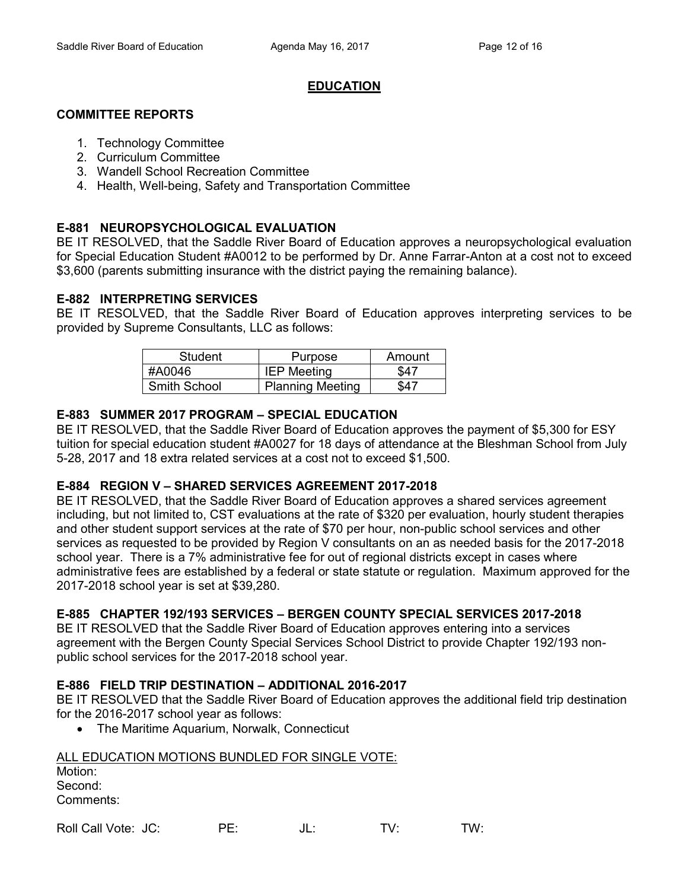## **EDUCATION**

## **COMMITTEE REPORTS**

- 1. Technology Committee
- 2. Curriculum Committee
- 3. Wandell School Recreation Committee
- 4. Health, Well-being, Safety and Transportation Committee

# **E-881 NEUROPSYCHOLOGICAL EVALUATION**

BE IT RESOLVED, that the Saddle River Board of Education approves a neuropsychological evaluation for Special Education Student #A0012 to be performed by Dr. Anne Farrar-Anton at a cost not to exceed \$3,600 (parents submitting insurance with the district paying the remaining balance).

## **E-882 INTERPRETING SERVICES**

BE IT RESOLVED, that the Saddle River Board of Education approves interpreting services to be provided by Supreme Consultants, LLC as follows:

| Student      | Purpose                 | Amount |
|--------------|-------------------------|--------|
| #A0046       | <b>IEP Meeting</b>      | \$47   |
| Smith School | <b>Planning Meeting</b> | S47    |

# **E-883 SUMMER 2017 PROGRAM – SPECIAL EDUCATION**

BE IT RESOLVED, that the Saddle River Board of Education approves the payment of \$5,300 for ESY tuition for special education student #A0027 for 18 days of attendance at the Bleshman School from July 5-28, 2017 and 18 extra related services at a cost not to exceed \$1,500.

## **E-884 REGION V – SHARED SERVICES AGREEMENT 2017-2018**

BE IT RESOLVED, that the Saddle River Board of Education approves a shared services agreement including, but not limited to, CST evaluations at the rate of \$320 per evaluation, hourly student therapies and other student support services at the rate of \$70 per hour, non-public school services and other services as requested to be provided by Region V consultants on an as needed basis for the 2017-2018 school year. There is a 7% administrative fee for out of regional districts except in cases where administrative fees are established by a federal or state statute or regulation. Maximum approved for the 2017-2018 school year is set at \$39,280.

# **E-885 CHAPTER 192/193 SERVICES – BERGEN COUNTY SPECIAL SERVICES 2017-2018**

BE IT RESOLVED that the Saddle River Board of Education approves entering into a services agreement with the Bergen County Special Services School District to provide Chapter 192/193 nonpublic school services for the 2017-2018 school year.

## **E-886 FIELD TRIP DESTINATION – ADDITIONAL 2016-2017**

BE IT RESOLVED that the Saddle River Board of Education approves the additional field trip destination for the 2016-2017 school year as follows:

• The Maritime Aquarium, Norwalk, Connecticut

#### ALL EDUCATION MOTIONS BUNDLED FOR SINGLE VOTE: Motion: Second: Comments:

| Roll Call Vote: JC: | JL. | TV. | TW: |
|---------------------|-----|-----|-----|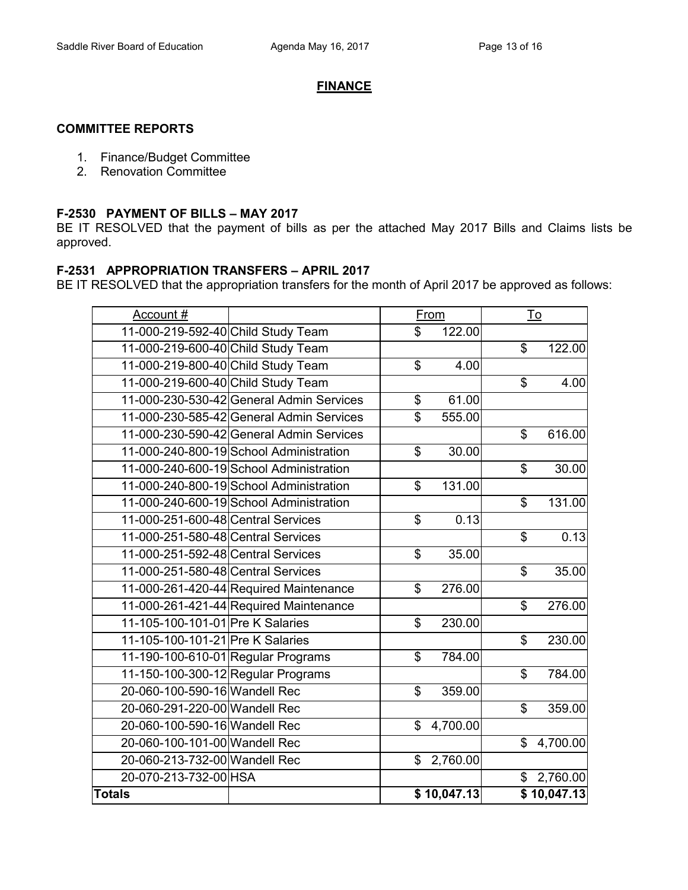#### **FINANCE**

## **COMMITTEE REPORTS**

- 1. Finance/Budget Committee
- 2. Renovation Committee

#### **F-2530 PAYMENT OF BILLS – MAY 2017**

BE IT RESOLVED that the payment of bills as per the attached May 2017 Bills and Claims lists be approved.

#### **F-2531 APPROPRIATION TRANSFERS – APRIL 2017**

BE IT RESOLVED that the appropriation transfers for the month of April 2017 be approved as follows:

| Account #                          |                                          |                         | From        |                | $\underline{\operatorname{To}}$ |
|------------------------------------|------------------------------------------|-------------------------|-------------|----------------|---------------------------------|
| 11-000-219-592-40 Child Study Team |                                          | \$                      | 122.00      |                |                                 |
| 11-000-219-600-40 Child Study Team |                                          |                         |             | $\mathbb S$    | 122.00                          |
| 11-000-219-800-40 Child Study Team |                                          | \$                      | 4.00        |                |                                 |
| 11-000-219-600-40 Child Study Team |                                          |                         |             | \$             | 4.00                            |
|                                    | 11-000-230-530-42 General Admin Services | \$                      | 61.00       |                |                                 |
|                                    | 11-000-230-585-42 General Admin Services | $\overline{\mathbb{S}}$ | 555.00      |                |                                 |
|                                    | 11-000-230-590-42 General Admin Services |                         |             | \$             | 616.00                          |
|                                    | 11-000-240-800-19 School Administration  | \$                      | 30.00       |                |                                 |
|                                    | 11-000-240-600-19 School Administration  |                         |             | \$             | 30.00                           |
|                                    | 11-000-240-800-19 School Administration  | \$                      | 131.00      |                |                                 |
|                                    | 11-000-240-600-19 School Administration  |                         |             | \$             | 131.00                          |
| 11-000-251-600-48 Central Services |                                          | \$                      | 0.13        |                |                                 |
| 11-000-251-580-48 Central Services |                                          |                         |             | \$             | 0.13                            |
| 11-000-251-592-48 Central Services |                                          | \$                      | 35.00       |                |                                 |
| 11-000-251-580-48 Central Services |                                          |                         |             | \$             | 35.00                           |
|                                    | 11-000-261-420-44 Required Maintenance   | \$                      | 276.00      |                |                                 |
|                                    | 11-000-261-421-44 Required Maintenance   |                         |             | $\mathfrak{S}$ | 276.00                          |
| 11-105-100-101-01 Pre K Salaries   |                                          | \$                      | 230.00      |                |                                 |
| 11-105-100-101-21 Pre K Salaries   |                                          |                         |             | \$             | 230.00                          |
| 11-190-100-610-01 Regular Programs |                                          | \$                      | 784.00      |                |                                 |
| 11-150-100-300-12 Regular Programs |                                          |                         |             | \$             | 784.00                          |
| 20-060-100-590-16 Wandell Rec      |                                          | \$                      | 359.00      |                |                                 |
| 20-060-291-220-00 Wandell Rec      |                                          |                         |             | \$             | 359.00                          |
| 20-060-100-590-16 Wandell Rec      |                                          | \$                      | 4,700.00    |                |                                 |
| 20-060-100-101-00 Wandell Rec      |                                          |                         |             | \$             | 4,700.00                        |
| 20-060-213-732-00 Wandell Rec      |                                          | \$                      | 2,760.00    |                |                                 |
| 20-070-213-732-00 HSA              |                                          |                         |             |                | \$2,760.00                      |
| <b>Totals</b>                      |                                          |                         | \$10,047.13 |                | \$10,047.13                     |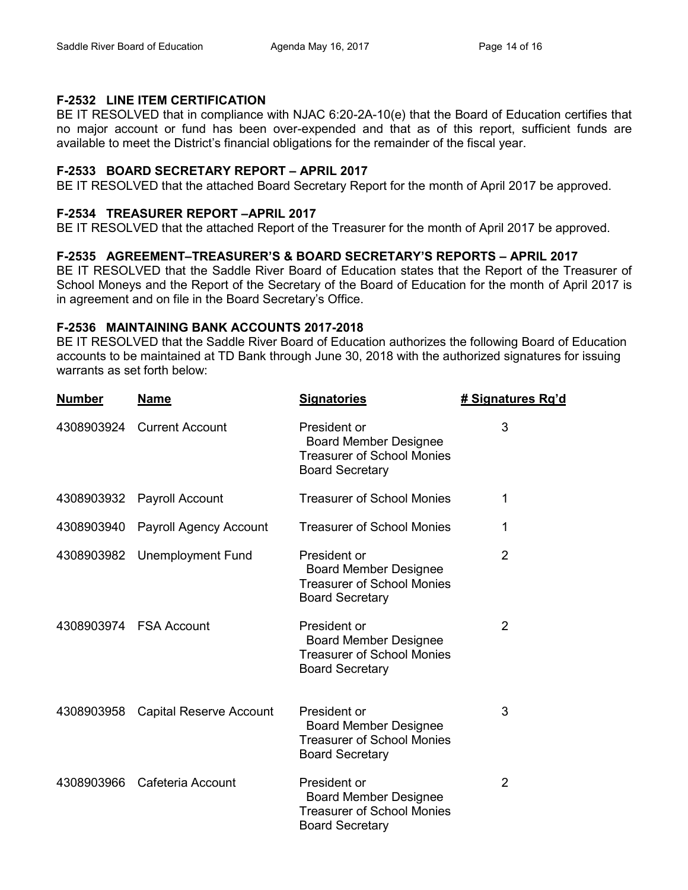## **F-2532 LINE ITEM CERTIFICATION**

BE IT RESOLVED that in compliance with NJAC 6:20-2A-10(e) that the Board of Education certifies that no major account or fund has been over-expended and that as of this report, sufficient funds are available to meet the District's financial obligations for the remainder of the fiscal year.

## **F-2533 BOARD SECRETARY REPORT – APRIL 2017**

BE IT RESOLVED that the attached Board Secretary Report for the month of April 2017 be approved.

## **F-2534 TREASURER REPORT –APRIL 2017**

BE IT RESOLVED that the attached Report of the Treasurer for the month of April 2017 be approved.

## **F-2535 AGREEMENT–TREASURER'S & BOARD SECRETARY'S REPORTS – APRIL 2017**

BE IT RESOLVED that the Saddle River Board of Education states that the Report of the Treasurer of School Moneys and the Report of the Secretary of the Board of Education for the month of April 2017 is in agreement and on file in the Board Secretary's Office.

## **F-2536 MAINTAINING BANK ACCOUNTS 2017-2018**

BE IT RESOLVED that the Saddle River Board of Education authorizes the following Board of Education accounts to be maintained at TD Bank through June 30, 2018 with the authorized signatures for issuing warrants as set forth below:

| <b>Number</b> | <b>Name</b>                    | <b>Signatories</b>                                                                                          | # Signatures Rq'd |
|---------------|--------------------------------|-------------------------------------------------------------------------------------------------------------|-------------------|
| 4308903924    | <b>Current Account</b>         | President or<br><b>Board Member Designee</b><br><b>Treasurer of School Monies</b><br><b>Board Secretary</b> | 3                 |
| 4308903932    | <b>Payroll Account</b>         | <b>Treasurer of School Monies</b>                                                                           | 1                 |
| 4308903940    | <b>Payroll Agency Account</b>  | <b>Treasurer of School Monies</b>                                                                           | 1                 |
| 4308903982    | <b>Unemployment Fund</b>       | President or<br><b>Board Member Designee</b><br><b>Treasurer of School Monies</b><br><b>Board Secretary</b> | $\overline{2}$    |
|               | 4308903974 FSA Account         | President or<br><b>Board Member Designee</b><br><b>Treasurer of School Monies</b><br><b>Board Secretary</b> | $\overline{2}$    |
| 4308903958    | <b>Capital Reserve Account</b> | President or<br><b>Board Member Designee</b><br><b>Treasurer of School Monies</b><br><b>Board Secretary</b> | 3                 |
| 4308903966    | Cafeteria Account              | President or<br><b>Board Member Designee</b><br><b>Treasurer of School Monies</b><br><b>Board Secretary</b> | $\overline{2}$    |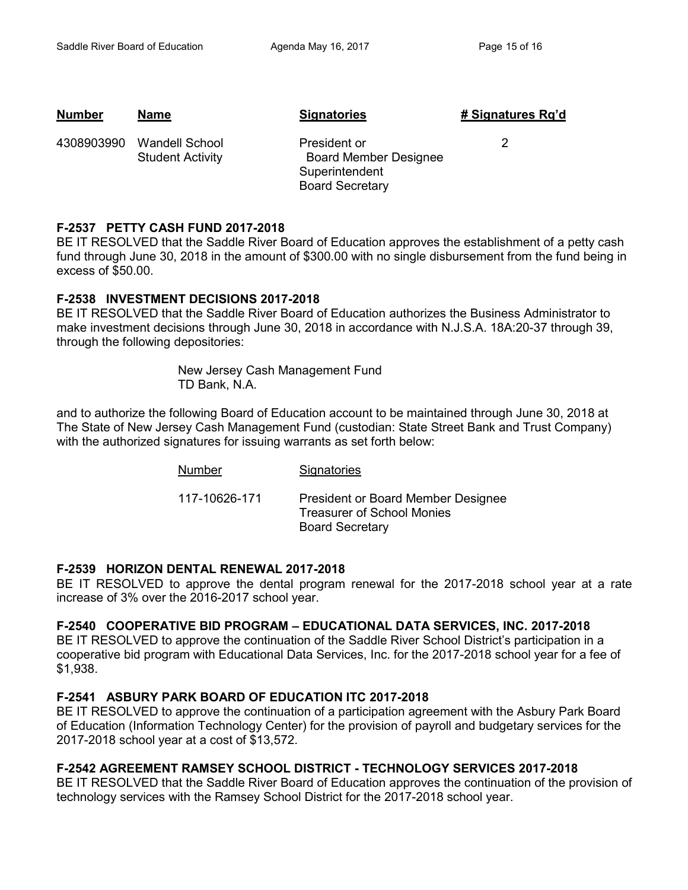| <b>Number</b> | <b>Name</b>                                      | <b>Signatories</b>                                                                       | # Signatures Rg'd |
|---------------|--------------------------------------------------|------------------------------------------------------------------------------------------|-------------------|
| 4308903990    | <b>Wandell School</b><br><b>Student Activity</b> | President or<br><b>Board Member Designee</b><br>Superintendent<br><b>Board Secretary</b> |                   |

### **F-2537 PETTY CASH FUND 2017-2018**

BE IT RESOLVED that the Saddle River Board of Education approves the establishment of a petty cash fund through June 30, 2018 in the amount of \$300.00 with no single disbursement from the fund being in excess of \$50.00.

## **F-2538 INVESTMENT DECISIONS 2017-2018**

BE IT RESOLVED that the Saddle River Board of Education authorizes the Business Administrator to make investment decisions through June 30, 2018 in accordance with N.J.S.A. 18A:20-37 through 39, through the following depositories:

> New Jersey Cash Management Fund TD Bank, N.A.

and to authorize the following Board of Education account to be maintained through June 30, 2018 at The State of New Jersey Cash Management Fund (custodian: State Street Bank and Trust Company) with the authorized signatures for issuing warrants as set forth below:

| Number        | Signatories                                                                                       |
|---------------|---------------------------------------------------------------------------------------------------|
| 117-10626-171 | President or Board Member Designee<br><b>Treasurer of School Monies</b><br><b>Board Secretary</b> |

#### **F-2539 HORIZON DENTAL RENEWAL 2017-2018**

BE IT RESOLVED to approve the dental program renewal for the 2017-2018 school year at a rate increase of 3% over the 2016-2017 school year.

#### **F-2540 COOPERATIVE BID PROGRAM – EDUCATIONAL DATA SERVICES, INC. 2017-2018**

BE IT RESOLVED to approve the continuation of the Saddle River School District's participation in a cooperative bid program with Educational Data Services, Inc. for the 2017-2018 school year for a fee of \$1,938.

## **F-2541 ASBURY PARK BOARD OF EDUCATION ITC 2017-2018**

BE IT RESOLVED to approve the continuation of a participation agreement with the Asbury Park Board of Education (Information Technology Center) for the provision of payroll and budgetary services for the 2017-2018 school year at a cost of \$13,572.

## **F-2542 AGREEMENT RAMSEY SCHOOL DISTRICT - TECHNOLOGY SERVICES 2017-2018**

BE IT RESOLVED that the Saddle River Board of Education approves the continuation of the provision of technology services with the Ramsey School District for the 2017-2018 school year.